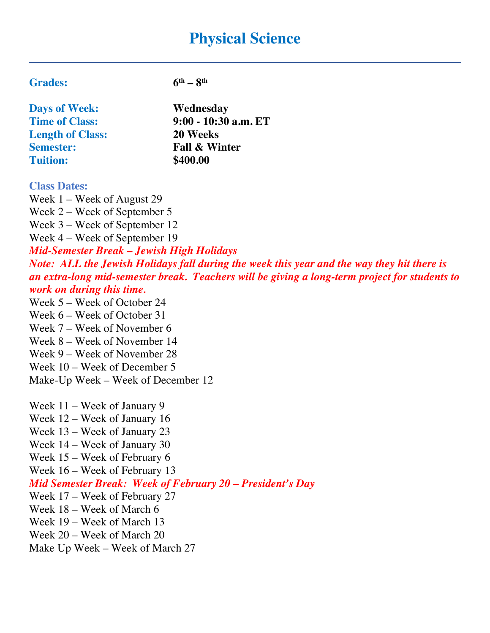# **Physical Science**

| <b>Days of Week:</b>    | Wednesday                |
|-------------------------|--------------------------|
| <b>Time of Class:</b>   | 9:00 - 10:30 a.m. ET     |
| <b>Length of Class:</b> | 20 Weeks                 |
| <b>Semester:</b>        | <b>Fall &amp; Winter</b> |
| <b>Tuition:</b>         | \$400.00                 |
|                         |                          |

**Grades: 6th – 8th**

#### **Class Dates:**

Week 1 – Week of August 29

Week 2 – Week of September 5

Week 3 – Week of September 12

Week 4 – Week of September 19

*Mid-Semester Break – Jewish High Holidays*

*Note: ALL the Jewish Holidays fall during the week this year and the way they hit there is an extra-long mid-semester break. Teachers will be giving a long-term project for students to work on during this time.*

- Week 5 Week of October 24
- Week 6 Week of October 31
- Week 7 Week of November 6
- Week 8 Week of November 14
- Week 9 Week of November 28
- Week 10 Week of December 5
- Make-Up Week Week of December 12

Week 11 – Week of January 9

- Week 12 Week of January 16
- Week 13 Week of January 23
- Week 14 Week of January 30
- Week 15 Week of February 6

Week 16 – Week of February 13

### *Mid Semester Break: Week of February 20 – President's Day*

- Week 17 Week of February 27
- Week 18 Week of March 6
- Week 19 Week of March 13
- Week 20 Week of March 20
- Make Up Week Week of March 27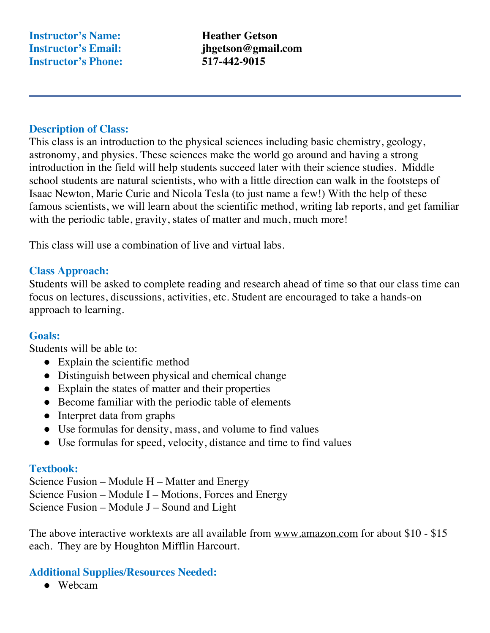**Instructor's Name: Heather Getson Instructor's Phone: 517-442-9015**

**Instructor's Email: jhgetson@gmail.com**

#### **Description of Class:**

This class is an introduction to the physical sciences including basic chemistry, geology, astronomy, and physics. These sciences make the world go around and having a strong introduction in the field will help students succeed later with their science studies. Middle school students are natural scientists, who with a little direction can walk in the footsteps of Isaac Newton, Marie Curie and Nicola Tesla (to just name a few!) With the help of these famous scientists, we will learn about the scientific method, writing lab reports, and get familiar with the periodic table, gravity, states of matter and much, much more!

This class will use a combination of live and virtual labs.

### **Class Approach:**

Students will be asked to complete reading and research ahead of time so that our class time can focus on lectures, discussions, activities, etc. Student are encouraged to take a hands-on approach to learning.

#### **Goals:**

Students will be able to:

- Explain the scientific method
- Distinguish between physical and chemical change
- Explain the states of matter and their properties
- Become familiar with the periodic table of elements
- Interpret data from graphs
- Use formulas for density, mass, and volume to find values
- Use formulas for speed, velocity, distance and time to find values

#### **Textbook:**

Science Fusion – Module H – Matter and Energy Science Fusion – Module I – Motions, Forces and Energy Science Fusion – Module J – Sound and Light

The above interactive worktexts are all available from www.amazon.com for about \$10 - \$15 each. They are by Houghton Mifflin Harcourt.

#### **Additional Supplies/Resources Needed:**

● Webcam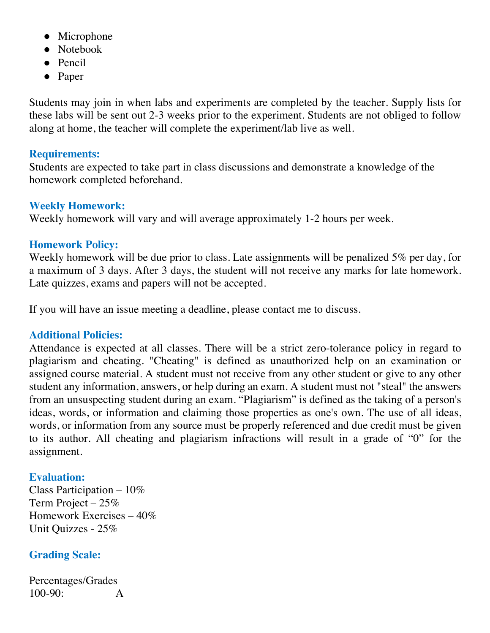- Microphone
- Notebook
- Pencil
- Paper

Students may join in when labs and experiments are completed by the teacher. Supply lists for these labs will be sent out 2-3 weeks prior to the experiment. Students are not obliged to follow along at home, the teacher will complete the experiment/lab live as well.

### **Requirements:**

Students are expected to take part in class discussions and demonstrate a knowledge of the homework completed beforehand.

## **Weekly Homework:**

Weekly homework will vary and will average approximately 1-2 hours per week.

## **Homework Policy:**

Weekly homework will be due prior to class. Late assignments will be penalized 5% per day, for a maximum of 3 days. After 3 days, the student will not receive any marks for late homework. Late quizzes, exams and papers will not be accepted.

If you will have an issue meeting a deadline, please contact me to discuss.

## **Additional Policies:**

Attendance is expected at all classes. There will be a strict zero-tolerance policy in regard to plagiarism and cheating. "Cheating" is defined as unauthorized help on an examination or assigned course material. A student must not receive from any other student or give to any other student any information, answers, or help during an exam. A student must not "steal" the answers from an unsuspecting student during an exam. "Plagiarism" is defined as the taking of a person's ideas, words, or information and claiming those properties as one's own. The use of all ideas, words, or information from any source must be properly referenced and due credit must be given to its author. All cheating and plagiarism infractions will result in a grade of "0" for the assignment.

## **Evaluation:**

Class Participation – 10% Term Project – 25% Homework Exercises – 40% Unit Quizzes - 25%

## **Grading Scale:**

Percentages/Grades 100-90: A